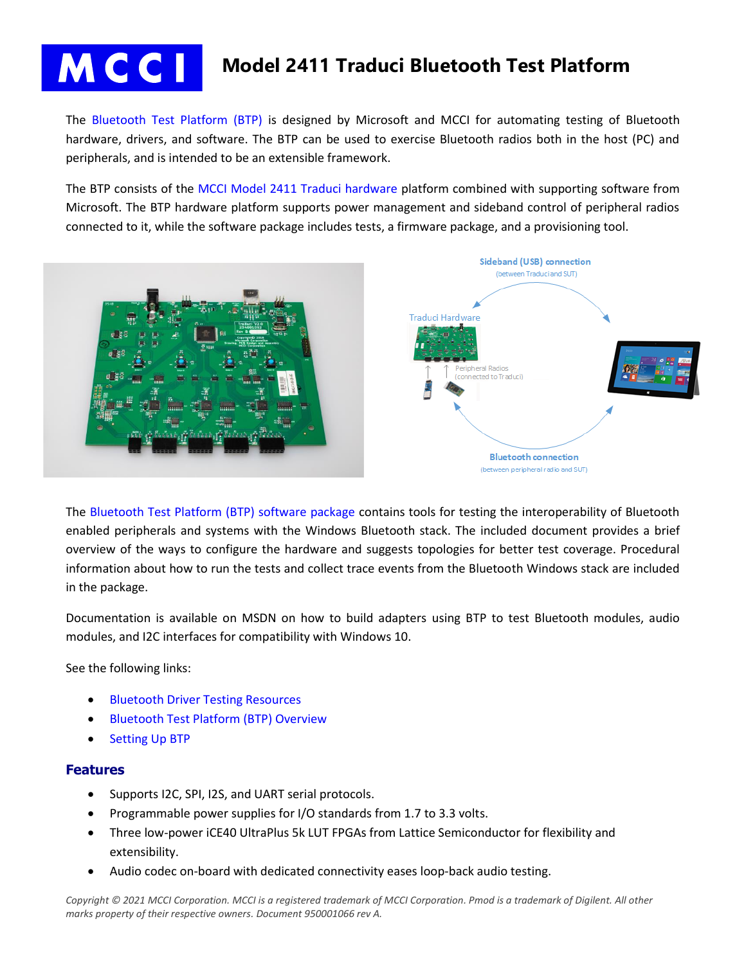

# **Model 2411 Traduci Bluetooth Test Platform**

The [Bluetooth Test Platform \(BTP\)](https://store.mcci.com/collections/frontpage/products/bluetooth-test-platform) is designed by Microsoft and MCCI for automating testing of Bluetooth hardware, drivers, and software. The BTP can be used to exercise Bluetooth radios both in the host (PC) and peripherals, and is intended to be an extensible framework.

The BTP consists of the [MCCI Model 2411 Traduci hardware](https://store.mcci.com/collections/frontpage/products/model-2411) platform combined with supporting software from Microsoft. The BTP hardware platform supports power management and sideband control of peripheral radios connected to it, while the software package includes tests, a firmware package, and a provisioning tool.



The [Bluetooth Test Platform \(BTP\) software package](https://docs.microsoft.com/en-us/windows-hardware/drivers/bluetooth/testing-btp-software-package) contains tools for testing the interoperability of Bluetooth enabled peripherals and systems with the Windows Bluetooth stack. The included document provides a brief overview of the ways to configure the hardware and suggests topologies for better test coverage. Procedural information about how to run the tests and collect trace events from the Bluetooth Windows stack are included in the package.

Documentation is available on MSDN on how to build adapters using BTP to test Bluetooth modules, audio modules, and I2C interfaces for compatibility with Windows 10.

See the following links:

- [Bluetooth Driver Testing Resources](https://docs.microsoft.com/en-us/windows-hardware/drivers/bluetooth/testing-bluetooth-main)
- [Bluetooth Test Platform \(BTP\) Overview](https://docs.microsoft.com/en-us/windows-hardware/drivers/bluetooth/testing-btp-overview)
- **[Setting Up BTP](https://docs.microsoft.com/en-us/windows-hardware/drivers/bluetooth/testing-btp-setup)**

### **Features**

- Supports I2C, SPI, I2S, and UART serial protocols.
- Programmable power supplies for I/O standards from 1.7 to 3.3 volts.
- Three low-power iCE40 UltraPlus 5k LUT FPGAs from Lattice Semiconductor for flexibility and extensibility.
- Audio codec on-board with dedicated connectivity eases loop-back audio testing.

*Copyright © 2021 MCCI Corporation. MCCI is a registered trademark of MCCI Corporation. Pmod is a trademark of Digilent. All other marks property of their respective owners. Document 950001066 rev A.*